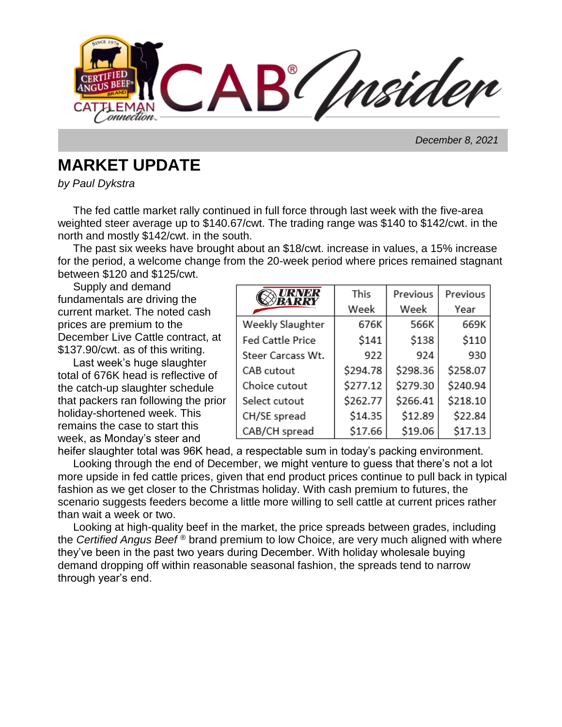B' Insider

 *December 8, 2021*

## **MARKET UPDATE**

*by Paul Dykstra*

 The fed cattle market rally continued in full force through last week with the five-area weighted steer average up to \$140.67/cwt. The trading range was \$140 to \$142/cwt. in the north and mostly \$142/cwt. in the south.

 The past six weeks have brought about an \$18/cwt. increase in values, a 15% increase for the period, a welcome change from the 20-week period where prices remained stagnant between \$120 and \$125/cwt.

 Supply and demand fundamentals are driving the current market. The noted cash prices are premium to the December Live Cattle contract, at \$137.90/cwt. as of this writing.

 Last week's huge slaughter total of 676K head is reflective of the catch-up slaughter schedule that packers ran following the prior holiday-shortened week. This remains the case to start this week, as Monday's steer and

| <b>TRNER</b>            | This     | Previous | Previous |
|-------------------------|----------|----------|----------|
|                         | Week     | Week     | Year     |
| Weekly Slaughter        | 676K     | 566K     | 669K     |
| <b>Fed Cattle Price</b> | \$141    | \$138    | \$110    |
| Steer Carcass Wt.       | 922      | 924      | 930      |
| CAB cutout              | \$294.78 | \$298.36 | \$258.07 |
| Choice cutout           | \$277.12 | \$279.30 | \$240.94 |
| Select cutout           | \$262.77 | \$266.41 | \$218.10 |
| CH/SE spread            | \$14.35  | \$12.89  | \$22.84  |
| CAB/CH spread           | \$17.66  | \$19.06  | \$17.13  |

heifer slaughter total was 96K head, a respectable sum in today's packing environment. Looking through the end of December, we might venture to guess that there's not a lot more upside in fed cattle prices, given that end product prices continue to pull back in typical fashion as we get closer to the Christmas holiday. With cash premium to futures, the scenario suggests feeders become a little more willing to sell cattle at current prices rather than wait a week or two.

 Looking at high-quality beef in the market, the price spreads between grades, including the *Certified Angus Beef* ® brand premium to low Choice, are very much aligned with where they've been in the past two years during December. With holiday wholesale buying demand dropping off within reasonable seasonal fashion, the spreads tend to narrow through year's end.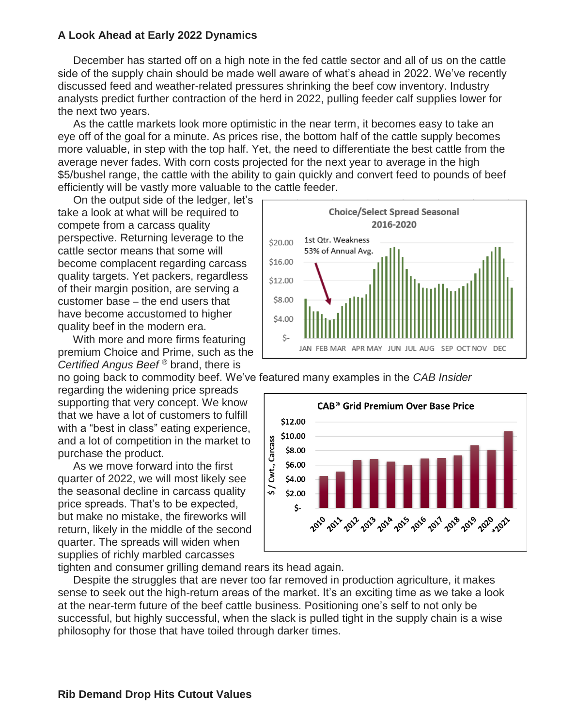## **A Look Ahead at Early 2022 Dynamics**

 December has started off on a high note in the fed cattle sector and all of us on the cattle side of the supply chain should be made well aware of what's ahead in 2022. We've recently discussed feed and weather-related pressures shrinking the beef cow inventory. Industry analysts predict further contraction of the herd in 2022, pulling feeder calf supplies lower for the next two years.

 As the cattle markets look more optimistic in the near term, it becomes easy to take an eye off of the goal for a minute. As prices rise, the bottom half of the cattle supply becomes more valuable, in step with the top half. Yet, the need to differentiate the best cattle from the average never fades. With corn costs projected for the next year to average in the high \$5/bushel range, the cattle with the ability to gain quickly and convert feed to pounds of beef efficiently will be vastly more valuable to the cattle feeder.

 On the output side of the ledger, let's take a look at what will be required to compete from a carcass quality perspective. Returning leverage to the cattle sector means that some will become complacent regarding carcass quality targets. Yet packers, regardless of their margin position, are serving a customer base – the end users that have become accustomed to higher quality beef in the modern era.

 With more and more firms featuring premium Choice and Prime, such as the *Certified Angus Beef* ® brand, there is

regarding the widening price spreads supporting that very concept. We know that we have a lot of customers to fulfill with a "best in class" eating experience, and a lot of competition in the market to purchase the product.

 As we move forward into the first quarter of 2022, we will most likely see the seasonal decline in carcass quality price spreads. That's to be expected, but make no mistake, the fireworks will return, likely in the middle of the second quarter. The spreads will widen when supplies of richly marbled carcasses



no going back to commodity beef. We've featured many examples in the *CAB Insider*



tighten and consumer grilling demand rears its head again.

 Despite the struggles that are never too far removed in production agriculture, it makes sense to seek out the high-return areas of the market. It's an exciting time as we take a look at the near-term future of the beef cattle business. Positioning one's self to not only be successful, but highly successful, when the slack is pulled tight in the supply chain is a wise philosophy for those that have toiled through darker times.